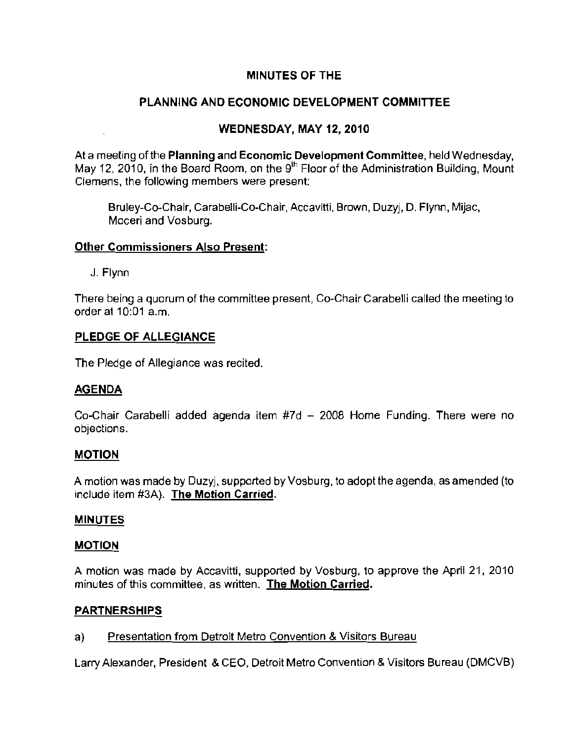# **MINUTES OF THE**

# **PLANNING AND ECONOMIC DEVELOPMENT COMMITIEE**

# **WEDNESDAY, MAY** 12, **2010**

At a meeting of the Planning and Economic Development Committee, held Wednesday, May 12, 2010, in the Board Room, on the  $9<sup>th</sup>$  Floor of the Administration Building, Mount Clemens, the following members were present:

Bruley-Co-Chair, Carabelli-Co-Chair, Accavitti, Brown, Duzyj, D. Flynn, Mijac, **Moceri and Vosburg.** 

### **Other Commissioners Also Present:**

J. Flynn

There being a quorum of the committee present, Co-Chair Carabelli called the meeting to order at 10:01 a.m.

### **PLEDGE OF ALLEGIANCE**

The Pledge of Allegiance was recited.

### **AGENDA**

Co-Chair Carabelli added agenda item #7d - 2008 Home Funding. There were no **objections.** 

# **MOTION**

A motion was made by Duzyj, supported by Vosburg, to adopt the agenda, as amended (to include item #3A). **The Motion** Carried.

### **MINUTES**

# **MOTION**

A motion was made by Accavitti, supported by Vosburg, to approve the April 21, 2010 **minutes of this committee, as written. The Motion Carried.** 

# **PARTNERSHIPS**

# **a) Presentation from Detroit Metro Convention & Visitors Bureau**

Larry Alexander, President & CEO. Detroit Metro Convention & Visitors Bureau (DMCVB)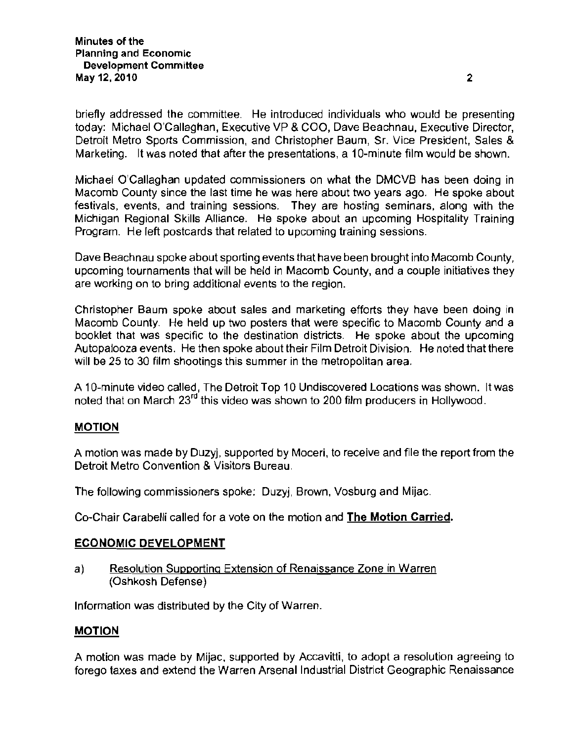briefly addressed the committee. He introduced individuals who would be presenting today: Michael O'Caliaghan, Executive VP & COO, Dave Beachnau, Executive Director, Detroit Metro Sports Commission, and Christopher Baum, Sr. Vice President, Sales & Marketing. It was noted that after the presentations, a 1O-minute film would be shown.

Michael O'Caliaghan updated commissioners on what the DMCVB has been doing in **Macomb County since the last time he was here about two years ago. He spoke about festivals, events, and training sessions. They are hosting seminars, along with the**  Michigan Regional Skills Alliance. He spoke about an upcoming Hospitality Training Program. He left postcards that related to upcoming training sessions.

Dave Beachnau spoke about sporting events that have been brought into Macomb County, upcoming tournaments that will be held in Macomb County, and a couple initiatives they **are working on to bring additional events to the region.** 

Christopher Baum spoke about sales and marketing efforts they have been doing in Macomb County. He held up two posters that were specific to Macomb County and a booklet that was specific to the destination districts. He spoke about the upcoming Autopalooza events. He then spoke about their Film Detroit Division. He noted that there will be 25 to 30 film shootings this summer in the metropolitan area.

A 1O-minute video called, The Detroit Top 10 Undiscovered Locations was shown. It was noted that on March 23<sup>rd</sup> this video was shown to 200 film producers in Hollywood.

### MOTION

A motion was made by Duzyj, supported by Moceri, to receive and file the report from the **Detroit Metro Convention & Visitors Bureau.** 

The following commissioners spoke: Duzyj, Brown, Vosburg and Mijac.

Co-Chair Carabelli called for a vote on the motion and The Motion Carried.

### ECONOMIC DEVELOPMENT

**a) Resolution Supporting Extension of Renaissance Zone in Warren**  (Oshkosh Defense)

Information was distributed by the City of Warren.

### MOTION

A motion was made by Mijac, supported by Accavitti, to adopt a resolution agreeing to forego taxes and extend the Warren Arsenal Industrial District Geographic Renaissance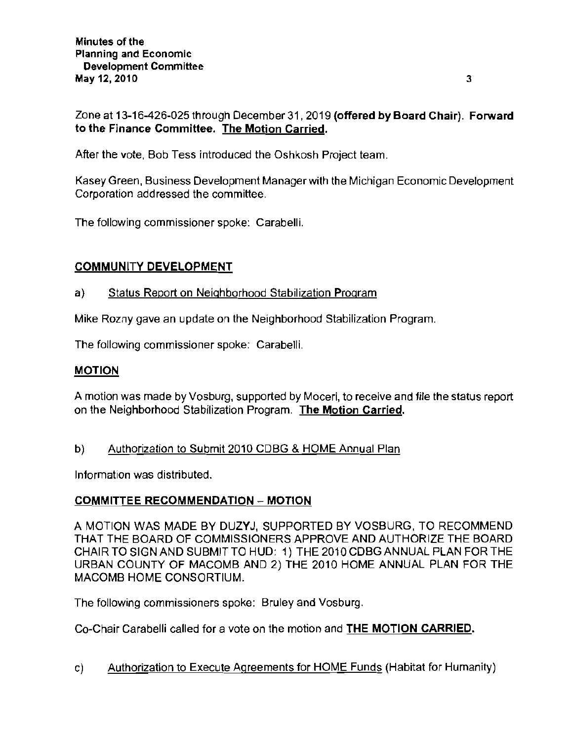Zone at 13-16-426-025 through December 31,2019 (offered by Board Chair). Forward **to the Finance Committee. The Motion Carried.** 

After the vote, Bob Tess introduced the Oshkosh Project team.

Kasey Green, Business Development Manager with the Michigan Economic Development Corporation addressed the committee.

The following commissioner spoke: Carabelli.

# COMMUNITY DEVELOPMENT

# a) Status Report on Neighborhood Stabilization Program

Mike Rozny gave an update on the Neighborhood Stabilization Program.

The following commissioner spoke: Carabelli.

# MOTION

A motion was made by Vosburg, supported by Moceri, to receive and file the status report on the Neighborhood Stabilization Program. The Motion Carried.

b) Authorization to Submit 2010 CDBG & HOME Annual Plan

Information was distributed.

# COMMITTEE RECOMMENDATION - MOTION

A MOTION WAS MADE BY DUZYJ, SUPPORTED BY VOSBURG, TO RECOMMEND THAT THE BOARD OF COMMISSIONERS APPROVE AND AUTHORIZE THE BOARD CHAIR TO SIGN AND SUBMIT TO HUD: 1) THE 2010 CDBGANNUAL PLAN FOR THE URBAN COUNTY OF MACOMB AND 2) THE 2010 HOME ANNUAL PLAN FOR THE MACOMB HOME CONSORTIUM.

The following commissioners spoke: Bruley and Vosburg.

Co-Chair Carabelli called for a vote on the motion and **THE** MOTION CARRIED.

c) Authorization to Execute Agreements for HOME Funds (Habitat for Humanity)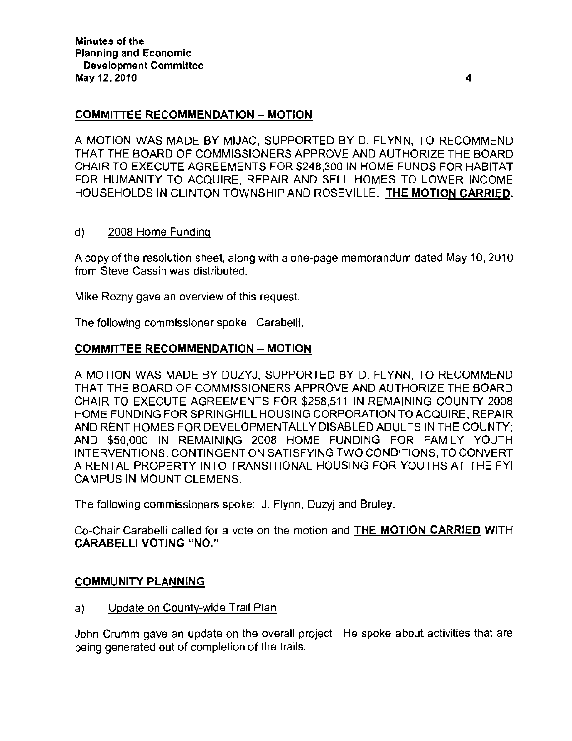### COMMITTEE RECOMMENDATION - MOTION

A MOTION WAS MADE BY MIJAC, SUPPORTED BY D. FLYNN, TO RECOMMEND THAT THE BOARD OF COMMISSIONERS APPROVE AND AUTHORIZE THE BOARD CHAIR TO EXECUTE AGREEMENTS FOR \$248,300 IN HOME FUNDS FOR HABITAT FOR HUMANITY TO ACQUIRE, REPAIR AND SELL HOMES TO LOWER INCOME HOUSEHOLDS IN CLINTON TOWNSHIP AND ROSEVILLE. THE MOTION CARRIED.

### d) 2008 Home Funding

A copy of the resolution sheet, along with a one-page memorandum dated May 10, 2010 from Steve Cassin was distributed.

**Mike Rozny gave an overview of this request.** 

The following commissioner spoke: Carabelli.

### COMMITTEE RECOMMENDATION - MOTION

A MOTION WAS MADE BY DUZYJ, SUPPORTED BY D. FLYNN, TO RECOMMEND THAT THE BOARD OF COMMISSIONERS APPROVE AND AUTHORIZE THE BOARD CHAIR TO EXECUTE AGREEMENTS FOR \$258,511 IN REMAINING COUNTY 2008 HOME FUNDING FOR SPRINGHILL HOUSING CORPORATION TO ACQUIRE, REPAIR AND RENT HOMES FOR DEVELOPMENTALLY DISABLED ADULTS IN THE COUNTY; AND \$50,000 IN REMAINING 2008 HOME FUNDING FOR FAMILY YOUTH INTERVENTIONS, CONTINGENT ON SATISFYING TWO CONDITIONS, TO CONVERT A RENTAL PROPERTY INTO TRANSITIONAL HOUSING FOR YOUTHS AT THE FYI CAMPUS IN MOUNT CLEMENS.

The following commissioners spoke: J. Flynn, Duzyj and Bruley.

Co-Chair Carabelli called for a vote on the motion and THE MOTION CARRIED WITH CARABELLI VOTING "NO."

### COMMUNITY PLANNING

a) Update on County-wide Trail Plan

John Crumm gave an update on the overall project. He spoke about activities that are being generated out of completion of the trails.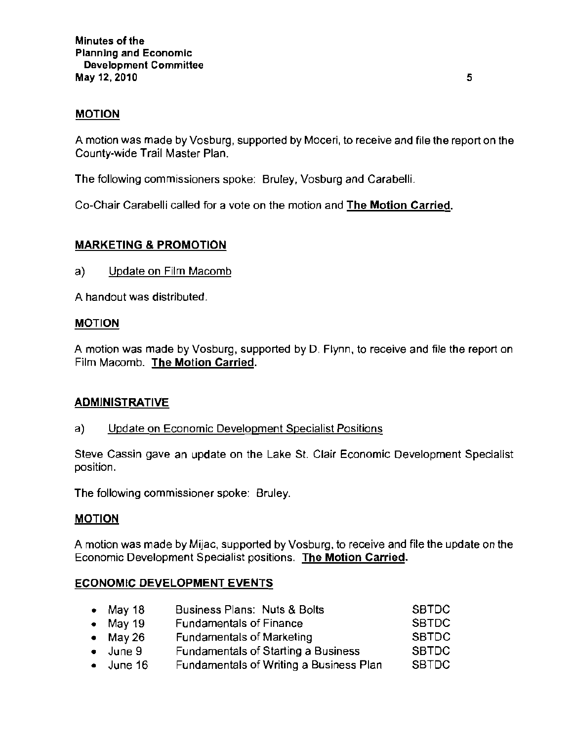### MOTION

A motion was made by Vosburg, supported by Moceri, to receive and file the report on the County-wide Trail Master Plan.

The following commissioners spoke: Bruley, Vosburg and Carabelli.

Co-Chair Carabelli called for a vote on the motion and The Motion Carried,

### MARKETING & PROMOTION

a) Update on Film Macomb

A handout was distributed.

### MOTION

A motion was made by Vosburg, supported by D. Flynn, to receive and file the report on Film Macomb. The Motion Carried.

### ADMINISTRATIVE

**a) Update on Economic Development Specialist Positions** 

**Steve Cassin gave an update on the Lake St. Clair Economic Development Specialist position.** 

**The following commissioner spoke: Bruley.** 

### MOTION

A motion was made by Mijac, supported by Vosburg, to receive and file the update on the **Economic Development Specialist positions. The Motion Carried.** 

### ECONOMIC DEVELOPMENT EVENTS

| • May 18          | Business Plans: Nuts & Bolts               | <b>SBTDC</b> |
|-------------------|--------------------------------------------|--------------|
| $\bullet$ May 19  | <b>Fundamentals of Finance</b>             | <b>SBTDC</b> |
| $\bullet$ May 26  | <b>Fundamentals of Marketing</b>           | <b>SBTDC</b> |
| $\bullet$ June 9  | <b>Fundamentals of Starting a Business</b> | <b>SBTDC</b> |
| $\bullet$ June 16 | Fundamentals of Writing a Business Plan    | <b>SBTDC</b> |